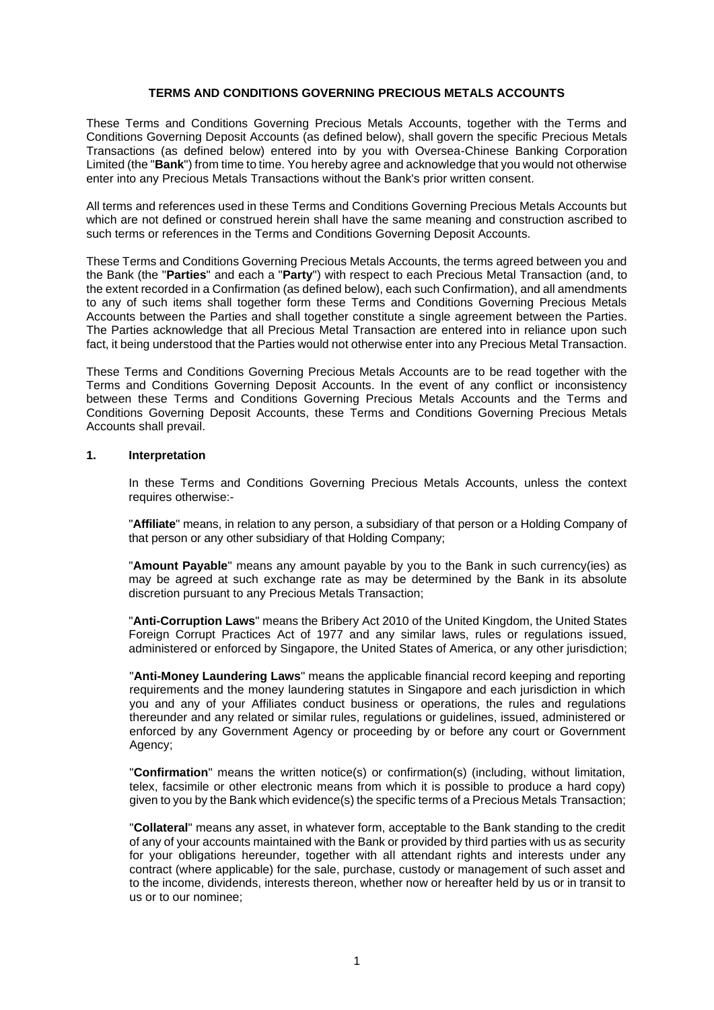#### **TERMS AND CONDITIONS GOVERNING PRECIOUS METALS ACCOUNTS**

These Terms and Conditions Governing Precious Metals Accounts, together with the Terms and Conditions Governing Deposit Accounts (as defined below), shall govern the specific Precious Metals Transactions (as defined below) entered into by you with Oversea-Chinese Banking Corporation Limited (the "**Bank**") from time to time. You hereby agree and acknowledge that you would not otherwise enter into any Precious Metals Transactions without the Bank's prior written consent.

All terms and references used in these Terms and Conditions Governing Precious Metals Accounts but which are not defined or construed herein shall have the same meaning and construction ascribed to such terms or references in the Terms and Conditions Governing Deposit Accounts.

These Terms and Conditions Governing Precious Metals Accounts, the terms agreed between you and the Bank (the "**Parties**" and each a "**Party**") with respect to each Precious Metal Transaction (and, to the extent recorded in a Confirmation (as defined below), each such Confirmation), and all amendments to any of such items shall together form these Terms and Conditions Governing Precious Metals Accounts between the Parties and shall together constitute a single agreement between the Parties. The Parties acknowledge that all Precious Metal Transaction are entered into in reliance upon such fact, it being understood that the Parties would not otherwise enter into any Precious Metal Transaction.

These Terms and Conditions Governing Precious Metals Accounts are to be read together with the Terms and Conditions Governing Deposit Accounts. In the event of any conflict or inconsistency between these Terms and Conditions Governing Precious Metals Accounts and the Terms and Conditions Governing Deposit Accounts, these Terms and Conditions Governing Precious Metals Accounts shall prevail.

### **1. Interpretation**

In these Terms and Conditions Governing Precious Metals Accounts, unless the context requires otherwise:-

"**Affiliate**" means, in relation to any person, a subsidiary of that person or a Holding Company of that person or any other subsidiary of that Holding Company;

"**Amount Payable**" means any amount payable by you to the Bank in such currency(ies) as may be agreed at such exchange rate as may be determined by the Bank in its absolute discretion pursuant to any Precious Metals Transaction;

"**Anti-Corruption Laws**" means the Bribery Act 2010 of the United Kingdom, the United States Foreign Corrupt Practices Act of 1977 and any similar laws, rules or regulations issued, administered or enforced by Singapore, the United States of America, or any other jurisdiction;

"**Anti-Money Laundering Laws**" means the applicable financial record keeping and reporting requirements and the money laundering statutes in Singapore and each jurisdiction in which you and any of your Affiliates conduct business or operations, the rules and regulations thereunder and any related or similar rules, regulations or guidelines, issued, administered or enforced by any Government Agency or proceeding by or before any court or Government Agency;

"**Confirmation**" means the written notice(s) or confirmation(s) (including, without limitation, telex, facsimile or other electronic means from which it is possible to produce a hard copy) given to you by the Bank which evidence(s) the specific terms of a Precious Metals Transaction;

"**Collateral**" means any asset, in whatever form, acceptable to the Bank standing to the credit of any of your accounts maintained with the Bank or provided by third parties with us as security for your obligations hereunder, together with all attendant rights and interests under any contract (where applicable) for the sale, purchase, custody or management of such asset and to the income, dividends, interests thereon, whether now or hereafter held by us or in transit to us or to our nominee;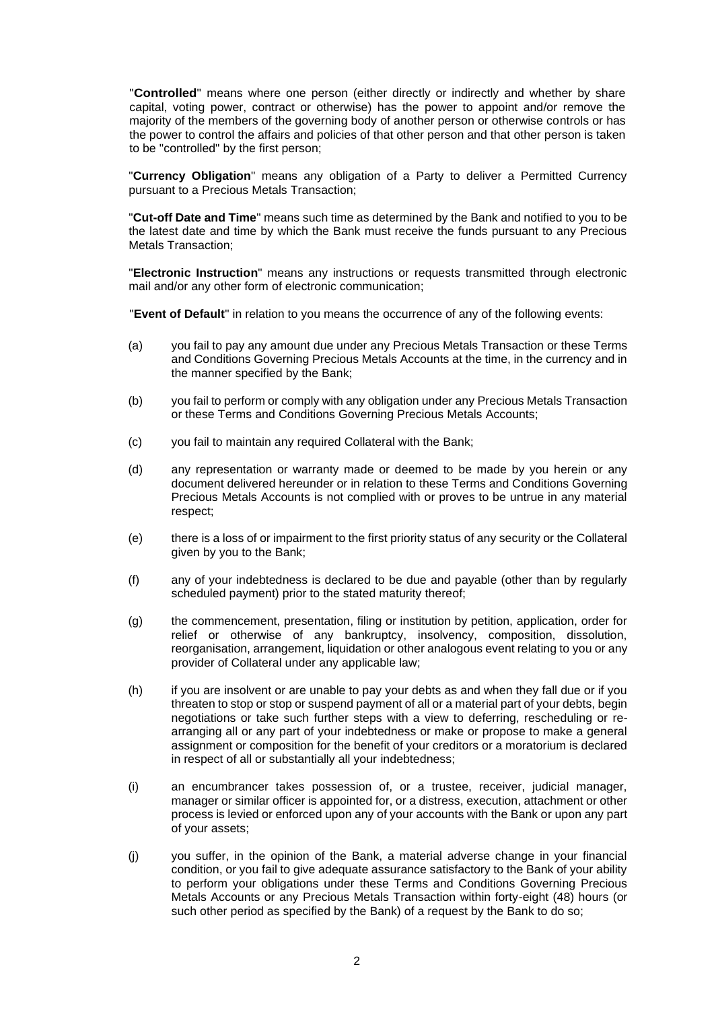"**Controlled**" means where one person (either directly or indirectly and whether by share capital, voting power, contract or otherwise) has the power to appoint and/or remove the majority of the members of the governing body of another person or otherwise controls or has the power to control the affairs and policies of that other person and that other person is taken to be "controlled" by the first person;

"**Currency Obligation**" means any obligation of a Party to deliver a Permitted Currency pursuant to a Precious Metals Transaction;

"**Cut-off Date and Time**" means such time as determined by the Bank and notified to you to be the latest date and time by which the Bank must receive the funds pursuant to any Precious Metals Transaction;

"**Electronic Instruction**" means any instructions or requests transmitted through electronic mail and/or any other form of electronic communication;

"**Event of Default**" in relation to you means the occurrence of any of the following events:

- (a) you fail to pay any amount due under any Precious Metals Transaction or these Terms and Conditions Governing Precious Metals Accounts at the time, in the currency and in the manner specified by the Bank;
- (b) you fail to perform or comply with any obligation under any Precious Metals Transaction or these Terms and Conditions Governing Precious Metals Accounts;
- (c) you fail to maintain any required Collateral with the Bank;
- (d) any representation or warranty made or deemed to be made by you herein or any document delivered hereunder or in relation to these Terms and Conditions Governing Precious Metals Accounts is not complied with or proves to be untrue in any material respect;
- (e) there is a loss of or impairment to the first priority status of any security or the Collateral given by you to the Bank;
- (f) any of your indebtedness is declared to be due and payable (other than by regularly scheduled payment) prior to the stated maturity thereof;
- (g) the commencement, presentation, filing or institution by petition, application, order for relief or otherwise of any bankruptcy, insolvency, composition, dissolution, reorganisation, arrangement, liquidation or other analogous event relating to you or any provider of Collateral under any applicable law;
- (h) if you are insolvent or are unable to pay your debts as and when they fall due or if you threaten to stop or stop or suspend payment of all or a material part of your debts, begin negotiations or take such further steps with a view to deferring, rescheduling or rearranging all or any part of your indebtedness or make or propose to make a general assignment or composition for the benefit of your creditors or a moratorium is declared in respect of all or substantially all your indebtedness;
- (i) an encumbrancer takes possession of, or a trustee, receiver, judicial manager, manager or similar officer is appointed for, or a distress, execution, attachment or other process is levied or enforced upon any of your accounts with the Bank or upon any part of your assets;
- (j) you suffer, in the opinion of the Bank, a material adverse change in your financial condition, or you fail to give adequate assurance satisfactory to the Bank of your ability to perform your obligations under these Terms and Conditions Governing Precious Metals Accounts or any Precious Metals Transaction within forty-eight (48) hours (or such other period as specified by the Bank) of a request by the Bank to do so;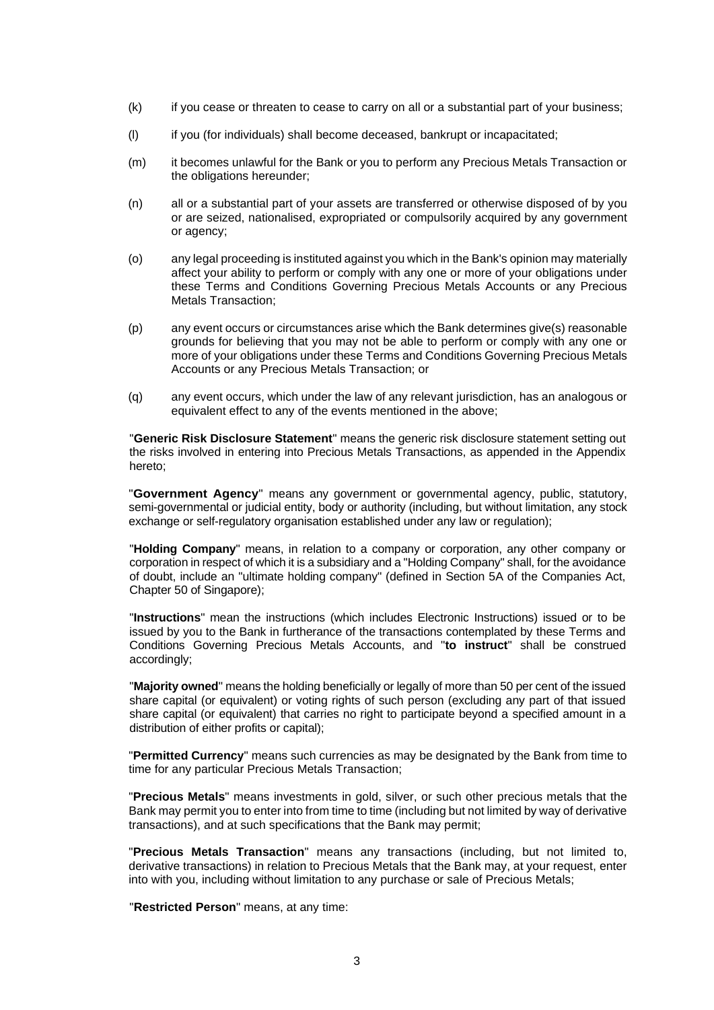- (k) if you cease or threaten to cease to carry on all or a substantial part of your business;
- (l) if you (for individuals) shall become deceased, bankrupt or incapacitated;
- (m) it becomes unlawful for the Bank or you to perform any Precious Metals Transaction or the obligations hereunder;
- (n) all or a substantial part of your assets are transferred or otherwise disposed of by you or are seized, nationalised, expropriated or compulsorily acquired by any government or agency;
- (o) any legal proceeding is instituted against you which in the Bank's opinion may materially affect your ability to perform or comply with any one or more of your obligations under these Terms and Conditions Governing Precious Metals Accounts or any Precious Metals Transaction;
- (p) any event occurs or circumstances arise which the Bank determines give(s) reasonable grounds for believing that you may not be able to perform or comply with any one or more of your obligations under these Terms and Conditions Governing Precious Metals Accounts or any Precious Metals Transaction; or
- (q) any event occurs, which under the law of any relevant jurisdiction, has an analogous or equivalent effect to any of the events mentioned in the above:

"**Generic Risk Disclosure Statement**" means the generic risk disclosure statement setting out the risks involved in entering into Precious Metals Transactions, as appended in the Appendix hereto;

"**Government Agency**" means any government or governmental agency, public, statutory, semi-governmental or judicial entity, body or authority (including, but without limitation, any stock exchange or self-regulatory organisation established under any law or regulation);

"**Holding Company**" means, in relation to a company or corporation, any other company or corporation in respect of which it is a subsidiary and a "Holding Company" shall, for the avoidance of doubt, include an "ultimate holding company" (defined in Section 5A of the Companies Act, Chapter 50 of Singapore);

"**Instructions**" mean the instructions (which includes Electronic Instructions) issued or to be issued by you to the Bank in furtherance of the transactions contemplated by these Terms and Conditions Governing Precious Metals Accounts, and "**to instruct**" shall be construed accordingly;

"**Majority owned**" means the holding beneficially or legally of more than 50 per cent of the issued share capital (or equivalent) or voting rights of such person (excluding any part of that issued share capital (or equivalent) that carries no right to participate beyond a specified amount in a distribution of either profits or capital);

"**Permitted Currency**" means such currencies as may be designated by the Bank from time to time for any particular Precious Metals Transaction;

"**Precious Metals**" means investments in gold, silver, or such other precious metals that the Bank may permit you to enter into from time to time (including but not limited by way of derivative transactions), and at such specifications that the Bank may permit;

"**Precious Metals Transaction**" means any transactions (including, but not limited to, derivative transactions) in relation to Precious Metals that the Bank may, at your request, enter into with you, including without limitation to any purchase or sale of Precious Metals;

"**Restricted Person**" means, at any time: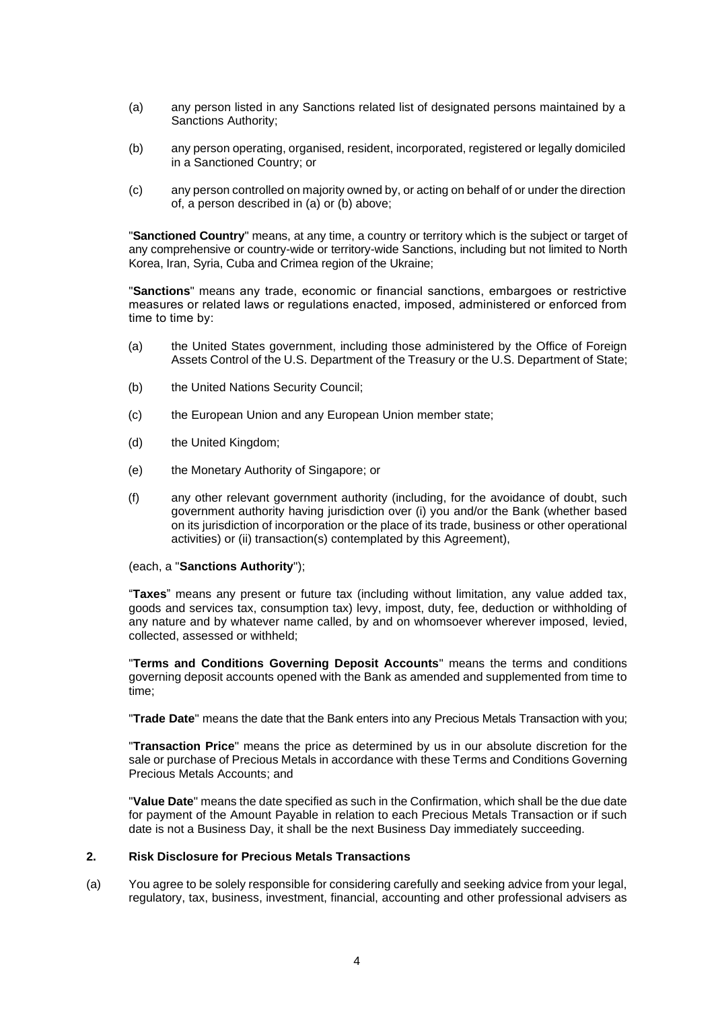- (a) any person listed in any Sanctions related list of designated persons maintained by a Sanctions Authority;
- (b) any person operating, organised, resident, incorporated, registered or legally domiciled in a Sanctioned Country; or
- (c) any person controlled on majority owned by, or acting on behalf of or under the direction of, a person described in (a) or (b) above;

"**Sanctioned Country**" means, at any time, a country or territory which is the subject or target of any comprehensive or country-wide or territory-wide Sanctions, including but not limited to North Korea, Iran, Syria, Cuba and Crimea region of the Ukraine;

"**Sanctions**" means any trade, economic or financial sanctions, embargoes or restrictive measures or related laws or regulations enacted, imposed, administered or enforced from time to time by:

- (a) the United States government, including those administered by the Office of Foreign Assets Control of the U.S. Department of the Treasury or the U.S. Department of State;
- (b) the United Nations Security Council;
- (c) the European Union and any European Union member state;
- (d) the United Kingdom;
- (e) the Monetary Authority of Singapore; or
- (f) any other relevant government authority (including, for the avoidance of doubt, such government authority having jurisdiction over (i) you and/or the Bank (whether based on its jurisdiction of incorporation or the place of its trade, business or other operational activities) or (ii) transaction(s) contemplated by this Agreement),

(each, a "**Sanctions Authority**");

"**Taxes**" means any present or future tax (including without limitation, any value added tax, goods and services tax, consumption tax) levy, impost, duty, fee, deduction or withholding of any nature and by whatever name called, by and on whomsoever wherever imposed, levied, collected, assessed or withheld;

"**Terms and Conditions Governing Deposit Accounts**" means the terms and conditions governing deposit accounts opened with the Bank as amended and supplemented from time to time;

"**Trade Date**" means the date that the Bank enters into any Precious Metals Transaction with you;

"**Transaction Price**" means the price as determined by us in our absolute discretion for the sale or purchase of Precious Metals in accordance with these Terms and Conditions Governing Precious Metals Accounts; and

"**Value Date**" means the date specified as such in the Confirmation, which shall be the due date for payment of the Amount Payable in relation to each Precious Metals Transaction or if such date is not a Business Day, it shall be the next Business Day immediately succeeding.

#### **2. Risk Disclosure for Precious Metals Transactions**

(a) You agree to be solely responsible for considering carefully and seeking advice from your legal, regulatory, tax, business, investment, financial, accounting and other professional advisers as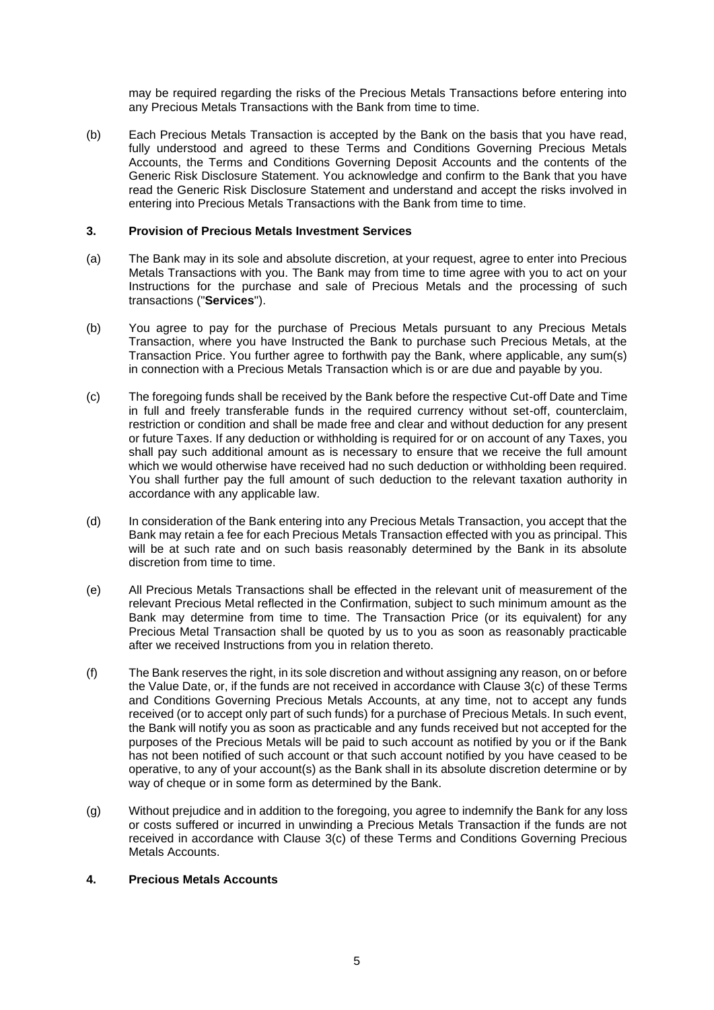may be required regarding the risks of the Precious Metals Transactions before entering into any Precious Metals Transactions with the Bank from time to time.

(b) Each Precious Metals Transaction is accepted by the Bank on the basis that you have read, fully understood and agreed to these Terms and Conditions Governing Precious Metals Accounts, the Terms and Conditions Governing Deposit Accounts and the contents of the Generic Risk Disclosure Statement. You acknowledge and confirm to the Bank that you have read the Generic Risk Disclosure Statement and understand and accept the risks involved in entering into Precious Metals Transactions with the Bank from time to time.

#### **3. Provision of Precious Metals Investment Services**

- (a) The Bank may in its sole and absolute discretion, at your request, agree to enter into Precious Metals Transactions with you. The Bank may from time to time agree with you to act on your Instructions for the purchase and sale of Precious Metals and the processing of such transactions ("**Services**").
- (b) You agree to pay for the purchase of Precious Metals pursuant to any Precious Metals Transaction, where you have Instructed the Bank to purchase such Precious Metals, at the Transaction Price. You further agree to forthwith pay the Bank, where applicable, any sum(s) in connection with a Precious Metals Transaction which is or are due and payable by you.
- (c) The foregoing funds shall be received by the Bank before the respective Cut-off Date and Time in full and freely transferable funds in the required currency without set-off, counterclaim, restriction or condition and shall be made free and clear and without deduction for any present or future Taxes. If any deduction or withholding is required for or on account of any Taxes, you shall pay such additional amount as is necessary to ensure that we receive the full amount which we would otherwise have received had no such deduction or withholding been required. You shall further pay the full amount of such deduction to the relevant taxation authority in accordance with any applicable law.
- (d) In consideration of the Bank entering into any Precious Metals Transaction, you accept that the Bank may retain a fee for each Precious Metals Transaction effected with you as principal. This will be at such rate and on such basis reasonably determined by the Bank in its absolute discretion from time to time.
- (e) All Precious Metals Transactions shall be effected in the relevant unit of measurement of the relevant Precious Metal reflected in the Confirmation, subject to such minimum amount as the Bank may determine from time to time. The Transaction Price (or its equivalent) for any Precious Metal Transaction shall be quoted by us to you as soon as reasonably practicable after we received Instructions from you in relation thereto.
- (f) The Bank reserves the right, in its sole discretion and without assigning any reason, on or before the Value Date, or, if the funds are not received in accordance with Clause 3(c) of these Terms and Conditions Governing Precious Metals Accounts, at any time, not to accept any funds received (or to accept only part of such funds) for a purchase of Precious Metals. In such event, the Bank will notify you as soon as practicable and any funds received but not accepted for the purposes of the Precious Metals will be paid to such account as notified by you or if the Bank has not been notified of such account or that such account notified by you have ceased to be operative, to any of your account(s) as the Bank shall in its absolute discretion determine or by way of cheque or in some form as determined by the Bank.
- (g) Without prejudice and in addition to the foregoing, you agree to indemnify the Bank for any loss or costs suffered or incurred in unwinding a Precious Metals Transaction if the funds are not received in accordance with Clause 3(c) of these Terms and Conditions Governing Precious Metals Accounts.

# **4. Precious Metals Accounts**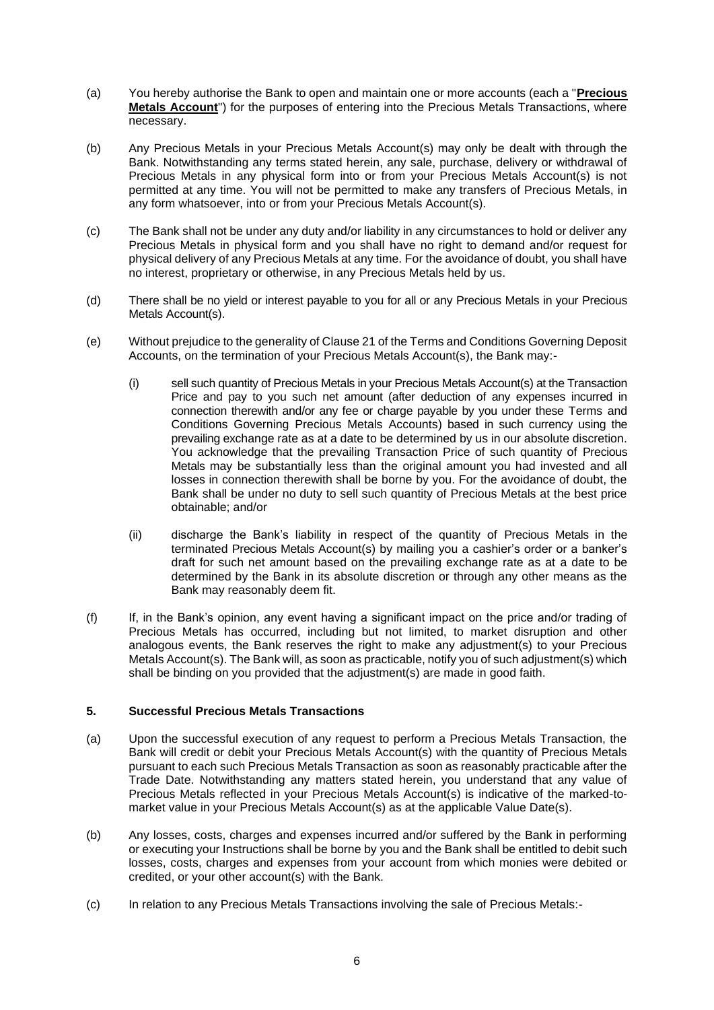- (a) You hereby authorise the Bank to open and maintain one or more accounts (each a "**Precious Metals Account**") for the purposes of entering into the Precious Metals Transactions, where necessary.
- (b) Any Precious Metals in your Precious Metals Account(s) may only be dealt with through the Bank. Notwithstanding any terms stated herein, any sale, purchase, delivery or withdrawal of Precious Metals in any physical form into or from your Precious Metals Account(s) is not permitted at any time. You will not be permitted to make any transfers of Precious Metals, in any form whatsoever, into or from your Precious Metals Account(s).
- (c) The Bank shall not be under any duty and/or liability in any circumstances to hold or deliver any Precious Metals in physical form and you shall have no right to demand and/or request for physical delivery of any Precious Metals at any time. For the avoidance of doubt, you shall have no interest, proprietary or otherwise, in any Precious Metals held by us.
- (d) There shall be no yield or interest payable to you for all or any Precious Metals in your Precious Metals Account(s).
- (e) Without prejudice to the generality of Clause 21 of the Terms and Conditions Governing Deposit Accounts, on the termination of your Precious Metals Account(s), the Bank may:-
	- (i) sell such quantity of Precious Metals in your Precious Metals Account(s) at the Transaction Price and pay to you such net amount (after deduction of any expenses incurred in connection therewith and/or any fee or charge payable by you under these Terms and Conditions Governing Precious Metals Accounts) based in such currency using the prevailing exchange rate as at a date to be determined by us in our absolute discretion. You acknowledge that the prevailing Transaction Price of such quantity of Precious Metals may be substantially less than the original amount you had invested and all losses in connection therewith shall be borne by you. For the avoidance of doubt, the Bank shall be under no duty to sell such quantity of Precious Metals at the best price obtainable; and/or
	- (ii) discharge the Bank's liability in respect of the quantity of Precious Metals in the terminated Precious Metals Account(s) by mailing you a cashier's order or a banker's draft for such net amount based on the prevailing exchange rate as at a date to be determined by the Bank in its absolute discretion or through any other means as the Bank may reasonably deem fit.
- (f) If, in the Bank's opinion, any event having a significant impact on the price and/or trading of Precious Metals has occurred, including but not limited, to market disruption and other analogous events, the Bank reserves the right to make any adjustment(s) to your Precious Metals Account(s). The Bank will, as soon as practicable, notify you of such adjustment(s) which shall be binding on you provided that the adjustment(s) are made in good faith.

# **5. Successful Precious Metals Transactions**

- (a) Upon the successful execution of any request to perform a Precious Metals Transaction, the Bank will credit or debit your Precious Metals Account(s) with the quantity of Precious Metals pursuant to each such Precious Metals Transaction as soon as reasonably practicable after the Trade Date. Notwithstanding any matters stated herein, you understand that any value of Precious Metals reflected in your Precious Metals Account(s) is indicative of the marked-tomarket value in your Precious Metals Account(s) as at the applicable Value Date(s).
- (b) Any losses, costs, charges and expenses incurred and/or suffered by the Bank in performing or executing your Instructions shall be borne by you and the Bank shall be entitled to debit such losses, costs, charges and expenses from your account from which monies were debited or credited, or your other account(s) with the Bank.
- (c) In relation to any Precious Metals Transactions involving the sale of Precious Metals:-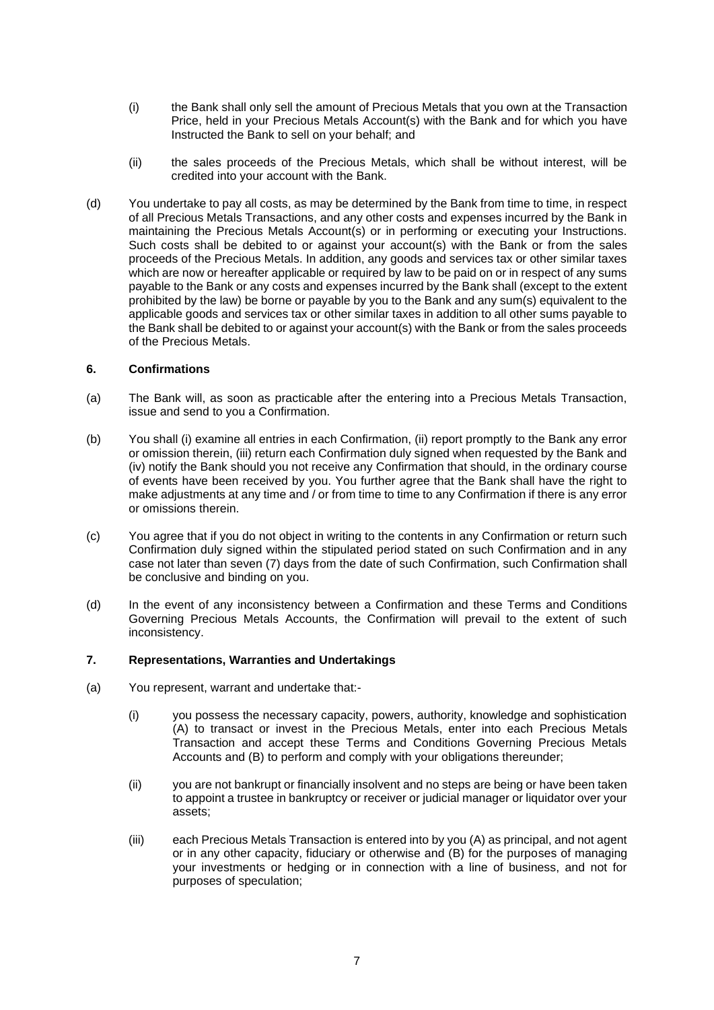- (i) the Bank shall only sell the amount of Precious Metals that you own at the Transaction Price, held in your Precious Metals Account(s) with the Bank and for which you have Instructed the Bank to sell on your behalf; and
- (ii) the sales proceeds of the Precious Metals, which shall be without interest, will be credited into your account with the Bank.
- (d) You undertake to pay all costs, as may be determined by the Bank from time to time, in respect of all Precious Metals Transactions, and any other costs and expenses incurred by the Bank in maintaining the Precious Metals Account(s) or in performing or executing your Instructions. Such costs shall be debited to or against your account(s) with the Bank or from the sales proceeds of the Precious Metals. In addition, any goods and services tax or other similar taxes which are now or hereafter applicable or required by law to be paid on or in respect of any sums payable to the Bank or any costs and expenses incurred by the Bank shall (except to the extent prohibited by the law) be borne or payable by you to the Bank and any sum(s) equivalent to the applicable goods and services tax or other similar taxes in addition to all other sums payable to the Bank shall be debited to or against your account(s) with the Bank or from the sales proceeds of the Precious Metals.

### **6. Confirmations**

- (a) The Bank will, as soon as practicable after the entering into a Precious Metals Transaction, issue and send to you a Confirmation.
- (b) You shall (i) examine all entries in each Confirmation, (ii) report promptly to the Bank any error or omission therein, (iii) return each Confirmation duly signed when requested by the Bank and (iv) notify the Bank should you not receive any Confirmation that should, in the ordinary course of events have been received by you. You further agree that the Bank shall have the right to make adjustments at any time and / or from time to time to any Confirmation if there is any error or omissions therein.
- (c) You agree that if you do not object in writing to the contents in any Confirmation or return such Confirmation duly signed within the stipulated period stated on such Confirmation and in any case not later than seven (7) days from the date of such Confirmation, such Confirmation shall be conclusive and binding on you.
- (d) In the event of any inconsistency between a Confirmation and these Terms and Conditions Governing Precious Metals Accounts, the Confirmation will prevail to the extent of such inconsistency.

#### **7. Representations, Warranties and Undertakings**

- (a) You represent, warrant and undertake that:-
	- (i) you possess the necessary capacity, powers, authority, knowledge and sophistication (A) to transact or invest in the Precious Metals, enter into each Precious Metals Transaction and accept these Terms and Conditions Governing Precious Metals Accounts and (B) to perform and comply with your obligations thereunder;
	- (ii) you are not bankrupt or financially insolvent and no steps are being or have been taken to appoint a trustee in bankruptcy or receiver or judicial manager or liquidator over your assets;
	- (iii) each Precious Metals Transaction is entered into by you (A) as principal, and not agent or in any other capacity, fiduciary or otherwise and (B) for the purposes of managing your investments or hedging or in connection with a line of business, and not for purposes of speculation;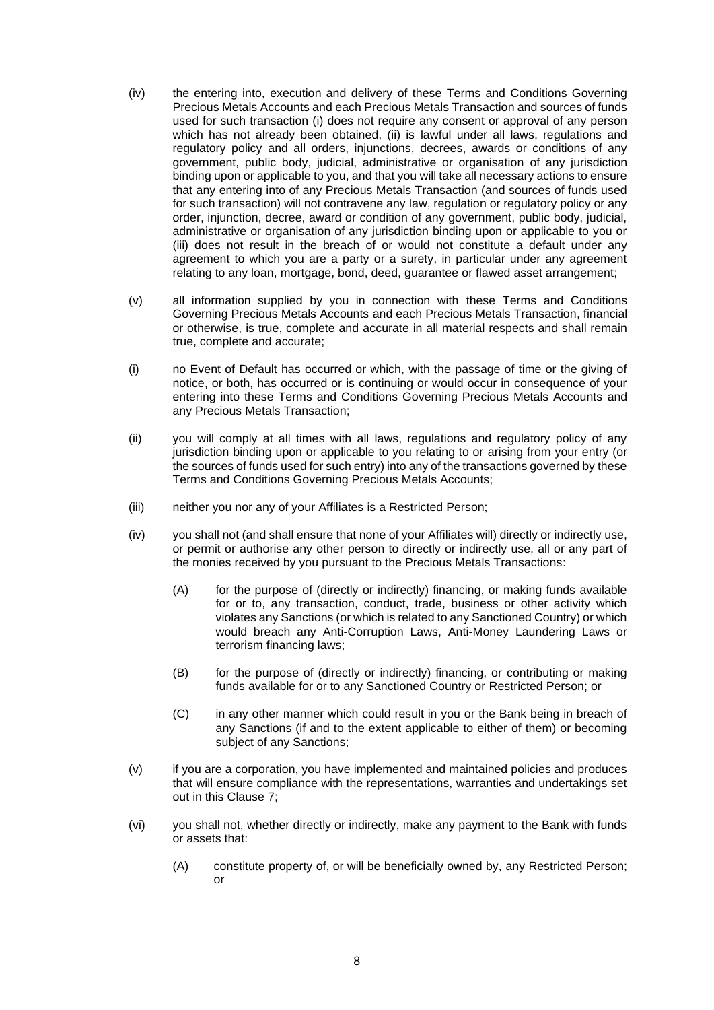- (iv) the entering into, execution and delivery of these Terms and Conditions Governing Precious Metals Accounts and each Precious Metals Transaction and sources of funds used for such transaction (i) does not require any consent or approval of any person which has not already been obtained, (ii) is lawful under all laws, regulations and regulatory policy and all orders, injunctions, decrees, awards or conditions of any government, public body, judicial, administrative or organisation of any jurisdiction binding upon or applicable to you, and that you will take all necessary actions to ensure that any entering into of any Precious Metals Transaction (and sources of funds used for such transaction) will not contravene any law, regulation or regulatory policy or any order, injunction, decree, award or condition of any government, public body, judicial, administrative or organisation of any jurisdiction binding upon or applicable to you or (iii) does not result in the breach of or would not constitute a default under any agreement to which you are a party or a surety, in particular under any agreement relating to any loan, mortgage, bond, deed, guarantee or flawed asset arrangement;
- (v) all information supplied by you in connection with these Terms and Conditions Governing Precious Metals Accounts and each Precious Metals Transaction, financial or otherwise, is true, complete and accurate in all material respects and shall remain true, complete and accurate;
- (i) no Event of Default has occurred or which, with the passage of time or the giving of notice, or both, has occurred or is continuing or would occur in consequence of your entering into these Terms and Conditions Governing Precious Metals Accounts and any Precious Metals Transaction;
- (ii) you will comply at all times with all laws, regulations and regulatory policy of any jurisdiction binding upon or applicable to you relating to or arising from your entry (or the sources of funds used for such entry) into any of the transactions governed by these Terms and Conditions Governing Precious Metals Accounts;
- (iii) neither you nor any of your Affiliates is a Restricted Person;
- (iv) vou shall not (and shall ensure that none of your Affiliates will) directly or indirectly use, or permit or authorise any other person to directly or indirectly use, all or any part of the monies received by you pursuant to the Precious Metals Transactions:
	- (A) for the purpose of (directly or indirectly) financing, or making funds available for or to, any transaction, conduct, trade, business or other activity which violates any Sanctions (or which is related to any Sanctioned Country) or which would breach any Anti-Corruption Laws, Anti-Money Laundering Laws or terrorism financing laws;
	- (B) for the purpose of (directly or indirectly) financing, or contributing or making funds available for or to any Sanctioned Country or Restricted Person; or
	- (C) in any other manner which could result in you or the Bank being in breach of any Sanctions (if and to the extent applicable to either of them) or becoming subject of any Sanctions;
- (v) if you are a corporation, you have implemented and maintained policies and produces that will ensure compliance with the representations, warranties and undertakings set out in this Clause 7;
- (vi) you shall not, whether directly or indirectly, make any payment to the Bank with funds or assets that:
	- (A) constitute property of, or will be beneficially owned by, any Restricted Person; or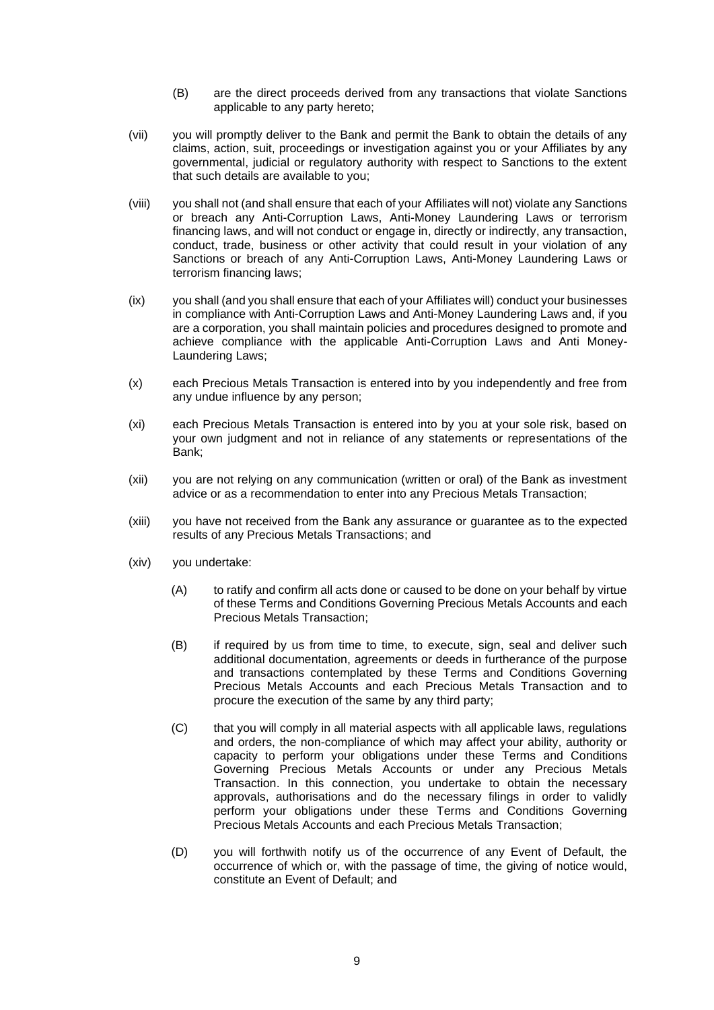- (B) are the direct proceeds derived from any transactions that violate Sanctions applicable to any party hereto;
- (vii) you will promptly deliver to the Bank and permit the Bank to obtain the details of any claims, action, suit, proceedings or investigation against you or your Affiliates by any governmental, judicial or regulatory authority with respect to Sanctions to the extent that such details are available to you;
- (viii) you shall not (and shall ensure that each of your Affiliates will not) violate any Sanctions or breach any Anti-Corruption Laws, Anti-Money Laundering Laws or terrorism financing laws, and will not conduct or engage in, directly or indirectly, any transaction, conduct, trade, business or other activity that could result in your violation of any Sanctions or breach of any Anti-Corruption Laws, Anti-Money Laundering Laws or terrorism financing laws;
- (ix) you shall (and you shall ensure that each of your Affiliates will) conduct your businesses in compliance with Anti-Corruption Laws and Anti-Money Laundering Laws and, if you are a corporation, you shall maintain policies and procedures designed to promote and achieve compliance with the applicable Anti-Corruption Laws and Anti Money-Laundering Laws;
- (x) each Precious Metals Transaction is entered into by you independently and free from any undue influence by any person;
- (xi) each Precious Metals Transaction is entered into by you at your sole risk, based on your own judgment and not in reliance of any statements or representations of the Bank;
- (xii) you are not relying on any communication (written or oral) of the Bank as investment advice or as a recommendation to enter into any Precious Metals Transaction;
- (xiii) you have not received from the Bank any assurance or guarantee as to the expected results of any Precious Metals Transactions; and
- (xiv) you undertake:
	- (A) to ratify and confirm all acts done or caused to be done on your behalf by virtue of these Terms and Conditions Governing Precious Metals Accounts and each Precious Metals Transaction;
	- (B) if required by us from time to time, to execute, sign, seal and deliver such additional documentation, agreements or deeds in furtherance of the purpose and transactions contemplated by these Terms and Conditions Governing Precious Metals Accounts and each Precious Metals Transaction and to procure the execution of the same by any third party;
	- (C) that you will comply in all material aspects with all applicable laws, regulations and orders, the non-compliance of which may affect your ability, authority or capacity to perform your obligations under these Terms and Conditions Governing Precious Metals Accounts or under any Precious Metals Transaction. In this connection, you undertake to obtain the necessary approvals, authorisations and do the necessary filings in order to validly perform your obligations under these Terms and Conditions Governing Precious Metals Accounts and each Precious Metals Transaction;
	- (D) you will forthwith notify us of the occurrence of any Event of Default, the occurrence of which or, with the passage of time, the giving of notice would, constitute an Event of Default; and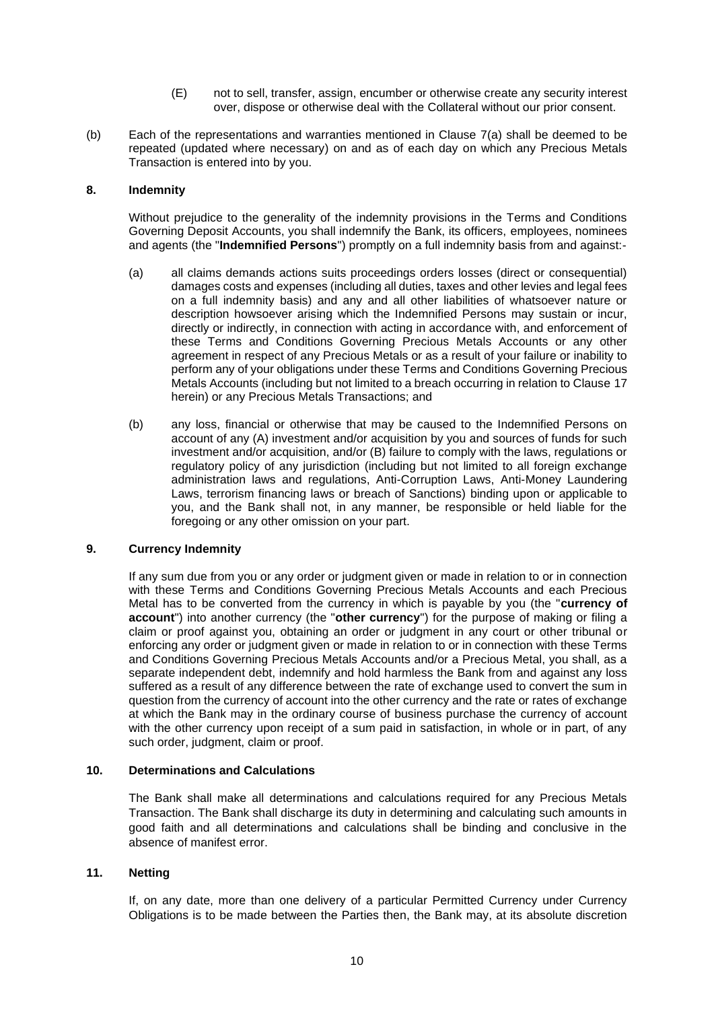- (E) not to sell, transfer, assign, encumber or otherwise create any security interest over, dispose or otherwise deal with the Collateral without our prior consent.
- (b) Each of the representations and warranties mentioned in Clause 7(a) shall be deemed to be repeated (updated where necessary) on and as of each day on which any Precious Metals Transaction is entered into by you.

# **8. Indemnity**

Without prejudice to the generality of the indemnity provisions in the Terms and Conditions Governing Deposit Accounts, you shall indemnify the Bank, its officers, employees, nominees and agents (the "**Indemnified Persons**") promptly on a full indemnity basis from and against:-

- (a) all claims demands actions suits proceedings orders losses (direct or consequential) damages costs and expenses (including all duties, taxes and other levies and legal fees on a full indemnity basis) and any and all other liabilities of whatsoever nature or description howsoever arising which the Indemnified Persons may sustain or incur, directly or indirectly, in connection with acting in accordance with, and enforcement of these Terms and Conditions Governing Precious Metals Accounts or any other agreement in respect of any Precious Metals or as a result of your failure or inability to perform any of your obligations under these Terms and Conditions Governing Precious Metals Accounts (including but not limited to a breach occurring in relation to Clause 17 herein) or any Precious Metals Transactions; and
- (b) any loss, financial or otherwise that may be caused to the Indemnified Persons on account of any (A) investment and/or acquisition by you and sources of funds for such investment and/or acquisition, and/or (B) failure to comply with the laws, regulations or regulatory policy of any jurisdiction (including but not limited to all foreign exchange administration laws and regulations, Anti-Corruption Laws, Anti-Money Laundering Laws, terrorism financing laws or breach of Sanctions) binding upon or applicable to you, and the Bank shall not, in any manner, be responsible or held liable for the foregoing or any other omission on your part.

#### **9. Currency Indemnity**

If any sum due from you or any order or judgment given or made in relation to or in connection with these Terms and Conditions Governing Precious Metals Accounts and each Precious Metal has to be converted from the currency in which is payable by you (the "**currency of account**") into another currency (the "**other currency**") for the purpose of making or filing a claim or proof against you, obtaining an order or judgment in any court or other tribunal or enforcing any order or judgment given or made in relation to or in connection with these Terms and Conditions Governing Precious Metals Accounts and/or a Precious Metal, you shall, as a separate independent debt, indemnify and hold harmless the Bank from and against any loss suffered as a result of any difference between the rate of exchange used to convert the sum in question from the currency of account into the other currency and the rate or rates of exchange at which the Bank may in the ordinary course of business purchase the currency of account with the other currency upon receipt of a sum paid in satisfaction, in whole or in part, of any such order, judgment, claim or proof.

### **10. Determinations and Calculations**

The Bank shall make all determinations and calculations required for any Precious Metals Transaction. The Bank shall discharge its duty in determining and calculating such amounts in good faith and all determinations and calculations shall be binding and conclusive in the absence of manifest error.

#### **11. Netting**

If, on any date, more than one delivery of a particular Permitted Currency under Currency Obligations is to be made between the Parties then, the Bank may, at its absolute discretion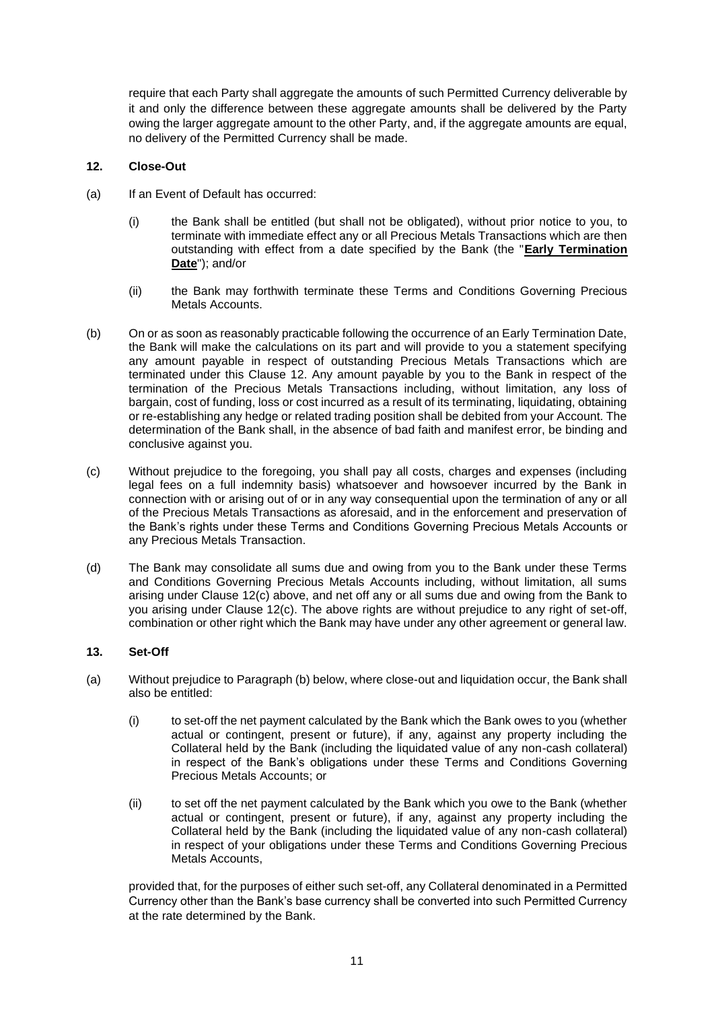require that each Party shall aggregate the amounts of such Permitted Currency deliverable by it and only the difference between these aggregate amounts shall be delivered by the Party owing the larger aggregate amount to the other Party, and, if the aggregate amounts are equal, no delivery of the Permitted Currency shall be made.

# **12. Close-Out**

- (a) If an Event of Default has occurred:
	- (i) the Bank shall be entitled (but shall not be obligated), without prior notice to you, to terminate with immediate effect any or all Precious Metals Transactions which are then outstanding with effect from a date specified by the Bank (the "**Early Termination Date**"); and/or
	- (ii) the Bank may forthwith terminate these Terms and Conditions Governing Precious Metals Accounts.
- (b) On or as soon as reasonably practicable following the occurrence of an Early Termination Date, the Bank will make the calculations on its part and will provide to you a statement specifying any amount payable in respect of outstanding Precious Metals Transactions which are terminated under this Clause 12. Any amount payable by you to the Bank in respect of the termination of the Precious Metals Transactions including, without limitation, any loss of bargain, cost of funding, loss or cost incurred as a result of its terminating, liquidating, obtaining or re-establishing any hedge or related trading position shall be debited from your Account. The determination of the Bank shall, in the absence of bad faith and manifest error, be binding and conclusive against you.
- (c) Without prejudice to the foregoing, you shall pay all costs, charges and expenses (including legal fees on a full indemnity basis) whatsoever and howsoever incurred by the Bank in connection with or arising out of or in any way consequential upon the termination of any or all of the Precious Metals Transactions as aforesaid, and in the enforcement and preservation of the Bank's rights under these Terms and Conditions Governing Precious Metals Accounts or any Precious Metals Transaction.
- (d) The Bank may consolidate all sums due and owing from you to the Bank under these Terms and Conditions Governing Precious Metals Accounts including, without limitation, all sums arising under Clause 12(c) above, and net off any or all sums due and owing from the Bank to you arising under Clause 12(c). The above rights are without prejudice to any right of set-off, combination or other right which the Bank may have under any other agreement or general law.

# **13. Set-Off**

- (a) Without prejudice to Paragraph (b) below, where close-out and liquidation occur, the Bank shall also be entitled:
	- (i) to set-off the net payment calculated by the Bank which the Bank owes to you (whether actual or contingent, present or future), if any, against any property including the Collateral held by the Bank (including the liquidated value of any non-cash collateral) in respect of the Bank's obligations under these Terms and Conditions Governing Precious Metals Accounts; or
	- (ii) to set off the net payment calculated by the Bank which you owe to the Bank (whether actual or contingent, present or future), if any, against any property including the Collateral held by the Bank (including the liquidated value of any non-cash collateral) in respect of your obligations under these Terms and Conditions Governing Precious Metals Accounts,

provided that, for the purposes of either such set-off, any Collateral denominated in a Permitted Currency other than the Bank's base currency shall be converted into such Permitted Currency at the rate determined by the Bank.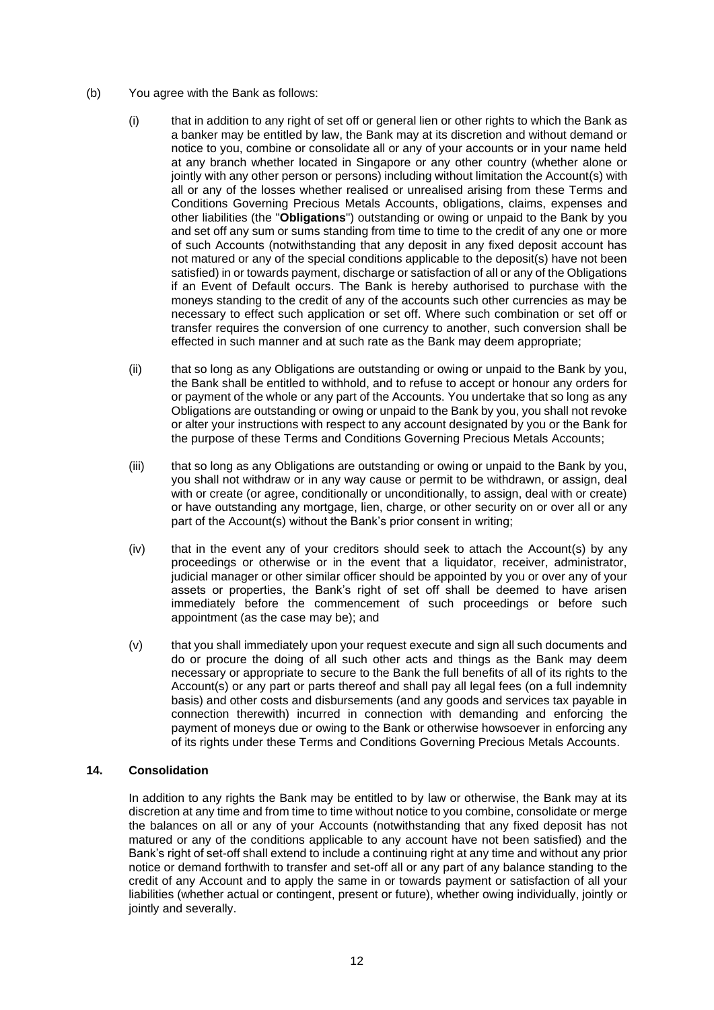- (b) You agree with the Bank as follows:
	- (i) that in addition to any right of set off or general lien or other rights to which the Bank as a banker may be entitled by law, the Bank may at its discretion and without demand or notice to you, combine or consolidate all or any of your accounts or in your name held at any branch whether located in Singapore or any other country (whether alone or jointly with any other person or persons) including without limitation the Account(s) with all or any of the losses whether realised or unrealised arising from these Terms and Conditions Governing Precious Metals Accounts, obligations, claims, expenses and other liabilities (the "**Obligations**") outstanding or owing or unpaid to the Bank by you and set off any sum or sums standing from time to time to the credit of any one or more of such Accounts (notwithstanding that any deposit in any fixed deposit account has not matured or any of the special conditions applicable to the deposit(s) have not been satisfied) in or towards payment, discharge or satisfaction of all or any of the Obligations if an Event of Default occurs. The Bank is hereby authorised to purchase with the moneys standing to the credit of any of the accounts such other currencies as may be necessary to effect such application or set off. Where such combination or set off or transfer requires the conversion of one currency to another, such conversion shall be effected in such manner and at such rate as the Bank may deem appropriate;
	- (ii) that so long as any Obligations are outstanding or owing or unpaid to the Bank by you, the Bank shall be entitled to withhold, and to refuse to accept or honour any orders for or payment of the whole or any part of the Accounts. You undertake that so long as any Obligations are outstanding or owing or unpaid to the Bank by you, you shall not revoke or alter your instructions with respect to any account designated by you or the Bank for the purpose of these Terms and Conditions Governing Precious Metals Accounts;
	- (iii) that so long as any Obligations are outstanding or owing or unpaid to the Bank by you, you shall not withdraw or in any way cause or permit to be withdrawn, or assign, deal with or create (or agree, conditionally or unconditionally, to assign, deal with or create) or have outstanding any mortgage, lien, charge, or other security on or over all or any part of the Account(s) without the Bank's prior consent in writing;
	- $(iv)$  that in the event any of your creditors should seek to attach the Account(s) by any proceedings or otherwise or in the event that a liquidator, receiver, administrator, judicial manager or other similar officer should be appointed by you or over any of your assets or properties, the Bank's right of set off shall be deemed to have arisen immediately before the commencement of such proceedings or before such appointment (as the case may be); and
	- (v) that you shall immediately upon your request execute and sign all such documents and do or procure the doing of all such other acts and things as the Bank may deem necessary or appropriate to secure to the Bank the full benefits of all of its rights to the Account(s) or any part or parts thereof and shall pay all legal fees (on a full indemnity basis) and other costs and disbursements (and any goods and services tax payable in connection therewith) incurred in connection with demanding and enforcing the payment of moneys due or owing to the Bank or otherwise howsoever in enforcing any of its rights under these Terms and Conditions Governing Precious Metals Accounts.

# **14. Consolidation**

In addition to any rights the Bank may be entitled to by law or otherwise, the Bank may at its discretion at any time and from time to time without notice to you combine, consolidate or merge the balances on all or any of your Accounts (notwithstanding that any fixed deposit has not matured or any of the conditions applicable to any account have not been satisfied) and the Bank's right of set-off shall extend to include a continuing right at any time and without any prior notice or demand forthwith to transfer and set-off all or any part of any balance standing to the credit of any Account and to apply the same in or towards payment or satisfaction of all your liabilities (whether actual or contingent, present or future), whether owing individually, jointly or jointly and severally.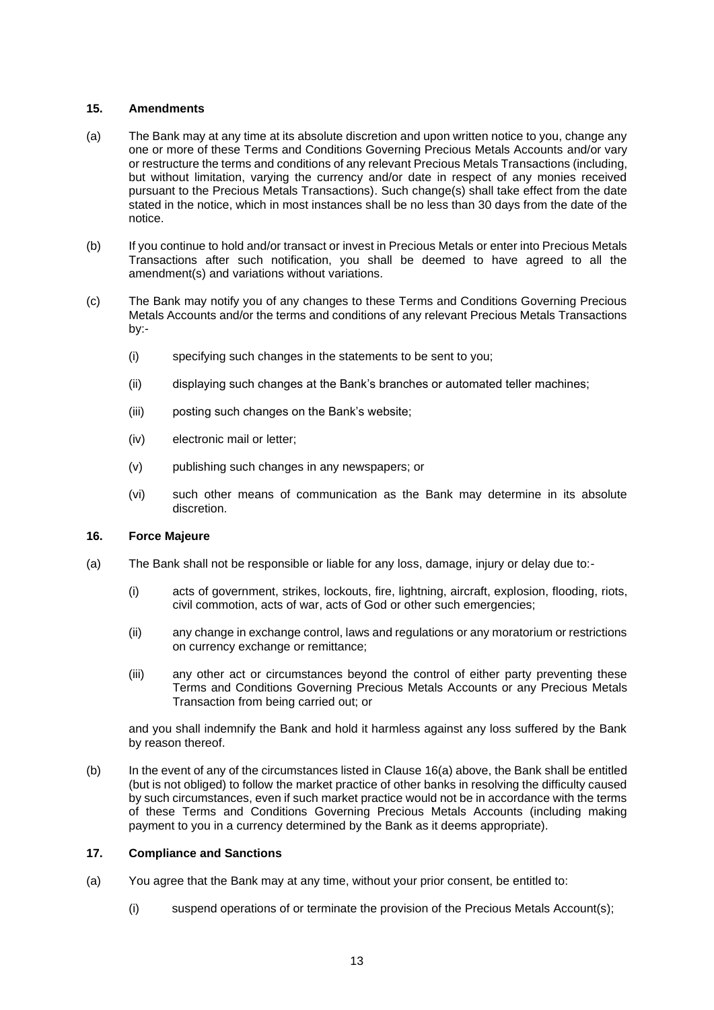# **15. Amendments**

- (a) The Bank may at any time at its absolute discretion and upon written notice to you, change any one or more of these Terms and Conditions Governing Precious Metals Accounts and/or vary or restructure the terms and conditions of any relevant Precious Metals Transactions (including, but without limitation, varying the currency and/or date in respect of any monies received pursuant to the Precious Metals Transactions). Such change(s) shall take effect from the date stated in the notice, which in most instances shall be no less than 30 days from the date of the notice.
- (b) If you continue to hold and/or transact or invest in Precious Metals or enter into Precious Metals Transactions after such notification, you shall be deemed to have agreed to all the amendment(s) and variations without variations.
- (c) The Bank may notify you of any changes to these Terms and Conditions Governing Precious Metals Accounts and/or the terms and conditions of any relevant Precious Metals Transactions by:-
	- (i) specifying such changes in the statements to be sent to you;
	- (ii) displaying such changes at the Bank's branches or automated teller machines;
	- (iii) posting such changes on the Bank's website;
	- (iv) electronic mail or letter;
	- (v) publishing such changes in any newspapers; or
	- (vi) such other means of communication as the Bank may determine in its absolute discretion.

#### **16. Force Majeure**

- (a) The Bank shall not be responsible or liable for any loss, damage, injury or delay due to:-
	- (i) acts of government, strikes, lockouts, fire, lightning, aircraft, explosion, flooding, riots, civil commotion, acts of war, acts of God or other such emergencies;
	- (ii) any change in exchange control, laws and regulations or any moratorium or restrictions on currency exchange or remittance;
	- (iii) any other act or circumstances beyond the control of either party preventing these Terms and Conditions Governing Precious Metals Accounts or any Precious Metals Transaction from being carried out; or

and you shall indemnify the Bank and hold it harmless against any loss suffered by the Bank by reason thereof.

(b) In the event of any of the circumstances listed in Clause 16(a) above, the Bank shall be entitled (but is not obliged) to follow the market practice of other banks in resolving the difficulty caused by such circumstances, even if such market practice would not be in accordance with the terms of these Terms and Conditions Governing Precious Metals Accounts (including making payment to you in a currency determined by the Bank as it deems appropriate).

#### **17. Compliance and Sanctions**

- (a) You agree that the Bank may at any time, without your prior consent, be entitled to:
	- (i) suspend operations of or terminate the provision of the Precious Metals Account(s);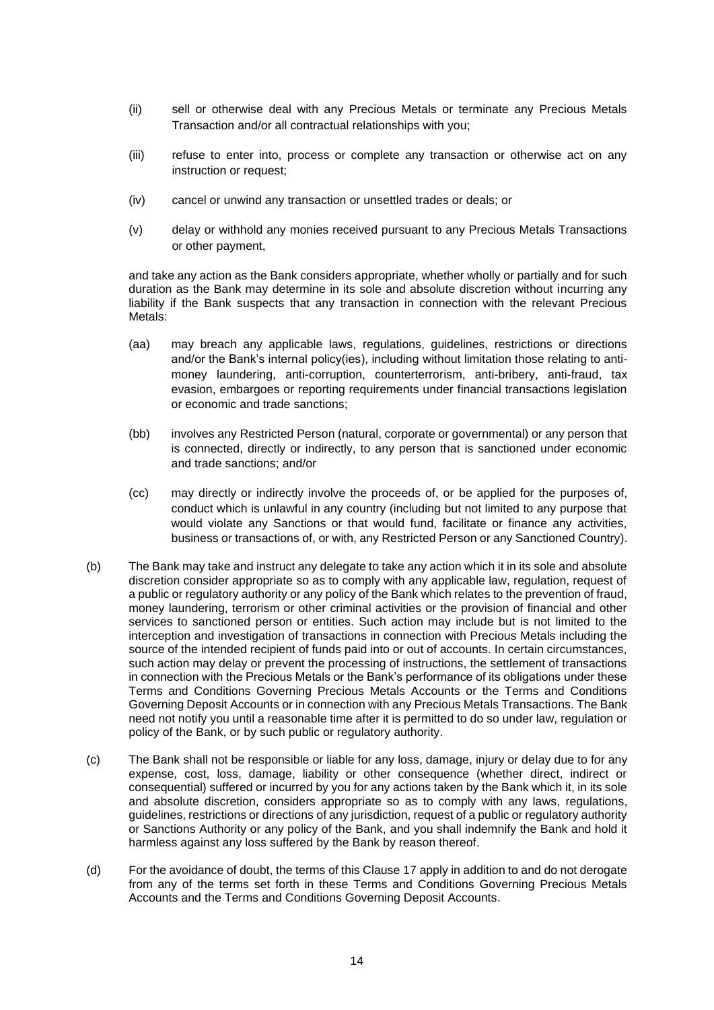- (ii) sell or otherwise deal with any Precious Metals or terminate any Precious Metals Transaction and/or all contractual relationships with you;
- (iii) refuse to enter into, process or complete any transaction or otherwise act on any instruction or request;
- (iv) cancel or unwind any transaction or unsettled trades or deals; or
- (v) delay or withhold any monies received pursuant to any Precious Metals Transactions or other payment,

and take any action as the Bank considers appropriate, whether wholly or partially and for such duration as the Bank may determine in its sole and absolute discretion without incurring any liability if the Bank suspects that any transaction in connection with the relevant Precious Metals:

- (aa) may breach any applicable laws, regulations, guidelines, restrictions or directions and/or the Bank's internal policy(ies), including without limitation those relating to antimoney laundering, anti-corruption, counterterrorism, anti-bribery, anti-fraud, tax evasion, embargoes or reporting requirements under financial transactions legislation or economic and trade sanctions;
- (bb) involves any Restricted Person (natural, corporate or governmental) or any person that is connected, directly or indirectly, to any person that is sanctioned under economic and trade sanctions; and/or
- (cc) may directly or indirectly involve the proceeds of, or be applied for the purposes of, conduct which is unlawful in any country (including but not limited to any purpose that would violate any Sanctions or that would fund, facilitate or finance any activities, business or transactions of, or with, any Restricted Person or any Sanctioned Country).
- (b) The Bank may take and instruct any delegate to take any action which it in its sole and absolute discretion consider appropriate so as to comply with any applicable law, regulation, request of a public or regulatory authority or any policy of the Bank which relates to the prevention of fraud, money laundering, terrorism or other criminal activities or the provision of financial and other services to sanctioned person or entities. Such action may include but is not limited to the interception and investigation of transactions in connection with Precious Metals including the source of the intended recipient of funds paid into or out of accounts. In certain circumstances, such action may delay or prevent the processing of instructions, the settlement of transactions in connection with the Precious Metals or the Bank's performance of its obligations under these Terms and Conditions Governing Precious Metals Accounts or the Terms and Conditions Governing Deposit Accounts or in connection with any Precious Metals Transactions. The Bank need not notify you until a reasonable time after it is permitted to do so under law, regulation or policy of the Bank, or by such public or regulatory authority.
- (c) The Bank shall not be responsible or liable for any loss, damage, injury or delay due to for any expense, cost, loss, damage, liability or other consequence (whether direct, indirect or consequential) suffered or incurred by you for any actions taken by the Bank which it, in its sole and absolute discretion, considers appropriate so as to comply with any laws, regulations, guidelines, restrictions or directions of any jurisdiction, request of a public or regulatory authority or Sanctions Authority or any policy of the Bank, and you shall indemnify the Bank and hold it harmless against any loss suffered by the Bank by reason thereof.
- (d) For the avoidance of doubt, the terms of this Clause 17 apply in addition to and do not derogate from any of the terms set forth in these Terms and Conditions Governing Precious Metals Accounts and the Terms and Conditions Governing Deposit Accounts.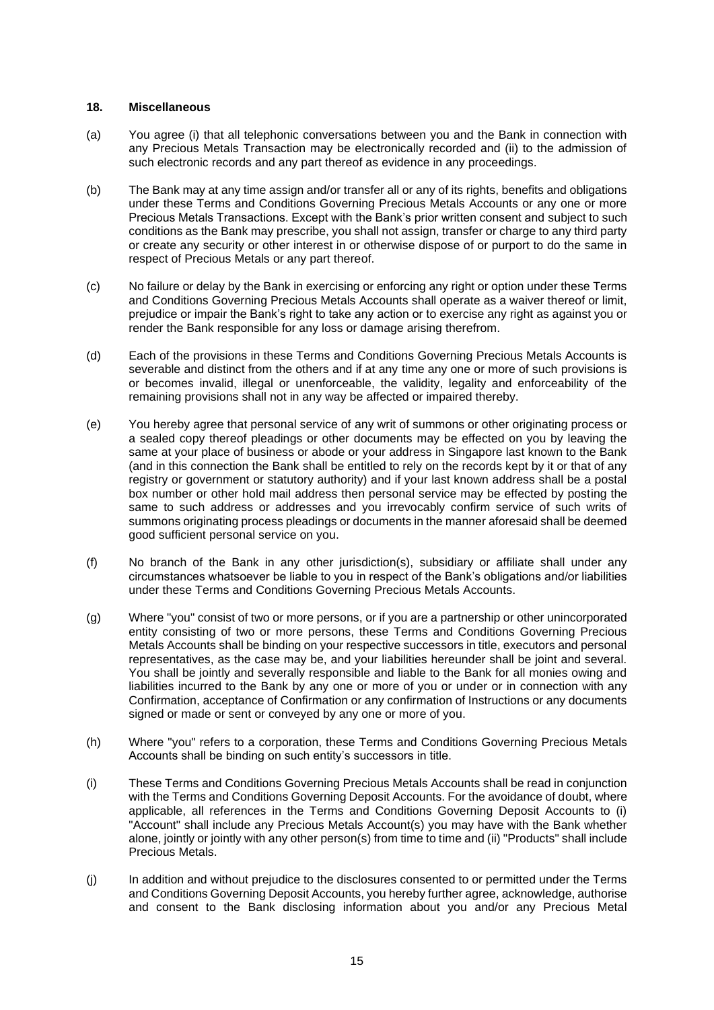### **18. Miscellaneous**

- (a) You agree (i) that all telephonic conversations between you and the Bank in connection with any Precious Metals Transaction may be electronically recorded and (ii) to the admission of such electronic records and any part thereof as evidence in any proceedings.
- (b) The Bank may at any time assign and/or transfer all or any of its rights, benefits and obligations under these Terms and Conditions Governing Precious Metals Accounts or any one or more Precious Metals Transactions. Except with the Bank's prior written consent and subject to such conditions as the Bank may prescribe, you shall not assign, transfer or charge to any third party or create any security or other interest in or otherwise dispose of or purport to do the same in respect of Precious Metals or any part thereof.
- (c) No failure or delay by the Bank in exercising or enforcing any right or option under these Terms and Conditions Governing Precious Metals Accounts shall operate as a waiver thereof or limit, prejudice or impair the Bank's right to take any action or to exercise any right as against you or render the Bank responsible for any loss or damage arising therefrom.
- (d) Each of the provisions in these Terms and Conditions Governing Precious Metals Accounts is severable and distinct from the others and if at any time any one or more of such provisions is or becomes invalid, illegal or unenforceable, the validity, legality and enforceability of the remaining provisions shall not in any way be affected or impaired thereby.
- (e) You hereby agree that personal service of any writ of summons or other originating process or a sealed copy thereof pleadings or other documents may be effected on you by leaving the same at your place of business or abode or your address in Singapore last known to the Bank (and in this connection the Bank shall be entitled to rely on the records kept by it or that of any registry or government or statutory authority) and if your last known address shall be a postal box number or other hold mail address then personal service may be effected by posting the same to such address or addresses and you irrevocably confirm service of such writs of summons originating process pleadings or documents in the manner aforesaid shall be deemed good sufficient personal service on you.
- (f) No branch of the Bank in any other jurisdiction(s), subsidiary or affiliate shall under any circumstances whatsoever be liable to you in respect of the Bank's obligations and/or liabilities under these Terms and Conditions Governing Precious Metals Accounts.
- (g) Where "you" consist of two or more persons, or if you are a partnership or other unincorporated entity consisting of two or more persons, these Terms and Conditions Governing Precious Metals Accounts shall be binding on your respective successors in title, executors and personal representatives, as the case may be, and your liabilities hereunder shall be joint and several. You shall be jointly and severally responsible and liable to the Bank for all monies owing and liabilities incurred to the Bank by any one or more of you or under or in connection with any Confirmation, acceptance of Confirmation or any confirmation of Instructions or any documents signed or made or sent or conveyed by any one or more of you.
- (h) Where "you" refers to a corporation, these Terms and Conditions Governing Precious Metals Accounts shall be binding on such entity's successors in title.
- (i) These Terms and Conditions Governing Precious Metals Accounts shall be read in conjunction with the Terms and Conditions Governing Deposit Accounts. For the avoidance of doubt, where applicable, all references in the Terms and Conditions Governing Deposit Accounts to (i) "Account" shall include any Precious Metals Account(s) you may have with the Bank whether alone, jointly or jointly with any other person(s) from time to time and (ii) "Products" shall include Precious Metals.
- (j) In addition and without prejudice to the disclosures consented to or permitted under the Terms and Conditions Governing Deposit Accounts, you hereby further agree, acknowledge, authorise and consent to the Bank disclosing information about you and/or any Precious Metal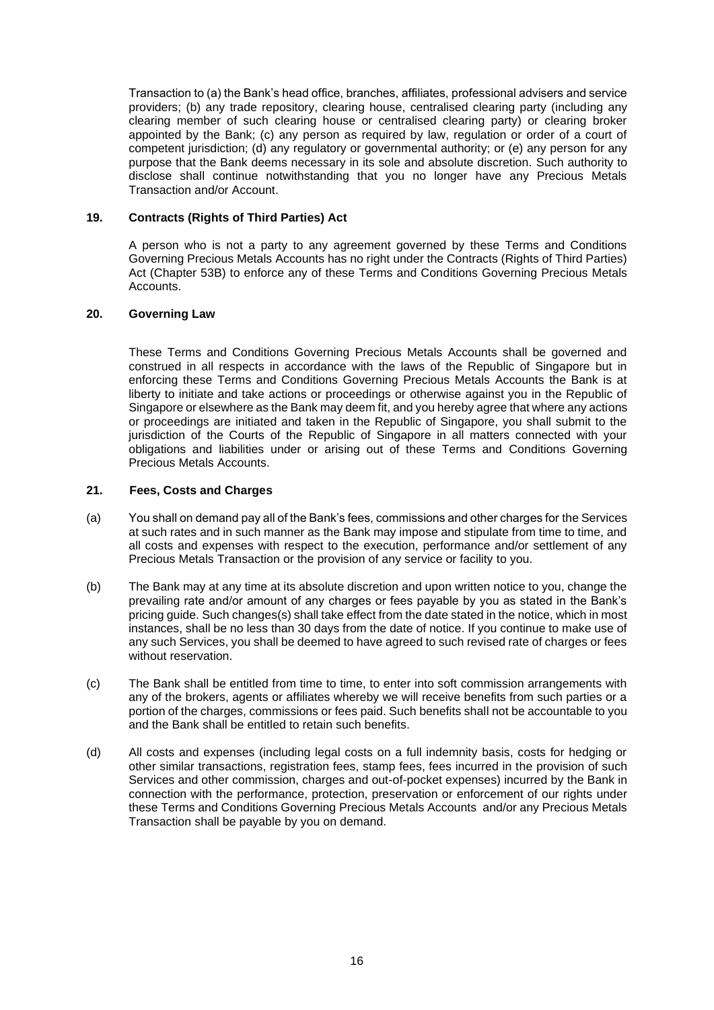Transaction to (a) the Bank's head office, branches, affiliates, professional advisers and service providers; (b) any trade repository, clearing house, centralised clearing party (including any clearing member of such clearing house or centralised clearing party) or clearing broker appointed by the Bank; (c) any person as required by law, regulation or order of a court of competent jurisdiction; (d) any regulatory or governmental authority; or (e) any person for any purpose that the Bank deems necessary in its sole and absolute discretion. Such authority to disclose shall continue notwithstanding that you no longer have any Precious Metals Transaction and/or Account.

### **19. Contracts (Rights of Third Parties) Act**

A person who is not a party to any agreement governed by these Terms and Conditions Governing Precious Metals Accounts has no right under the Contracts (Rights of Third Parties) Act (Chapter 53B) to enforce any of these Terms and Conditions Governing Precious Metals Accounts.

### **20. Governing Law**

These Terms and Conditions Governing Precious Metals Accounts shall be governed and construed in all respects in accordance with the laws of the Republic of Singapore but in enforcing these Terms and Conditions Governing Precious Metals Accounts the Bank is at liberty to initiate and take actions or proceedings or otherwise against you in the Republic of Singapore or elsewhere as the Bank may deem fit, and you hereby agree that where any actions or proceedings are initiated and taken in the Republic of Singapore, you shall submit to the jurisdiction of the Courts of the Republic of Singapore in all matters connected with your obligations and liabilities under or arising out of these Terms and Conditions Governing Precious Metals Accounts.

#### **21. Fees, Costs and Charges**

- (a) You shall on demand pay all of the Bank's fees, commissions and other charges for the Services at such rates and in such manner as the Bank may impose and stipulate from time to time, and all costs and expenses with respect to the execution, performance and/or settlement of any Precious Metals Transaction or the provision of any service or facility to you.
- (b) The Bank may at any time at its absolute discretion and upon written notice to you, change the prevailing rate and/or amount of any charges or fees payable by you as stated in the Bank's pricing guide. Such changes(s) shall take effect from the date stated in the notice, which in most instances, shall be no less than 30 days from the date of notice. If you continue to make use of any such Services, you shall be deemed to have agreed to such revised rate of charges or fees without reservation.
- (c) The Bank shall be entitled from time to time, to enter into soft commission arrangements with any of the brokers, agents or affiliates whereby we will receive benefits from such parties or a portion of the charges, commissions or fees paid. Such benefits shall not be accountable to you and the Bank shall be entitled to retain such benefits.
- (d) All costs and expenses (including legal costs on a full indemnity basis, costs for hedging or other similar transactions, registration fees, stamp fees, fees incurred in the provision of such Services and other commission, charges and out-of-pocket expenses) incurred by the Bank in connection with the performance, protection, preservation or enforcement of our rights under these Terms and Conditions Governing Precious Metals Accounts and/or any Precious Metals Transaction shall be payable by you on demand.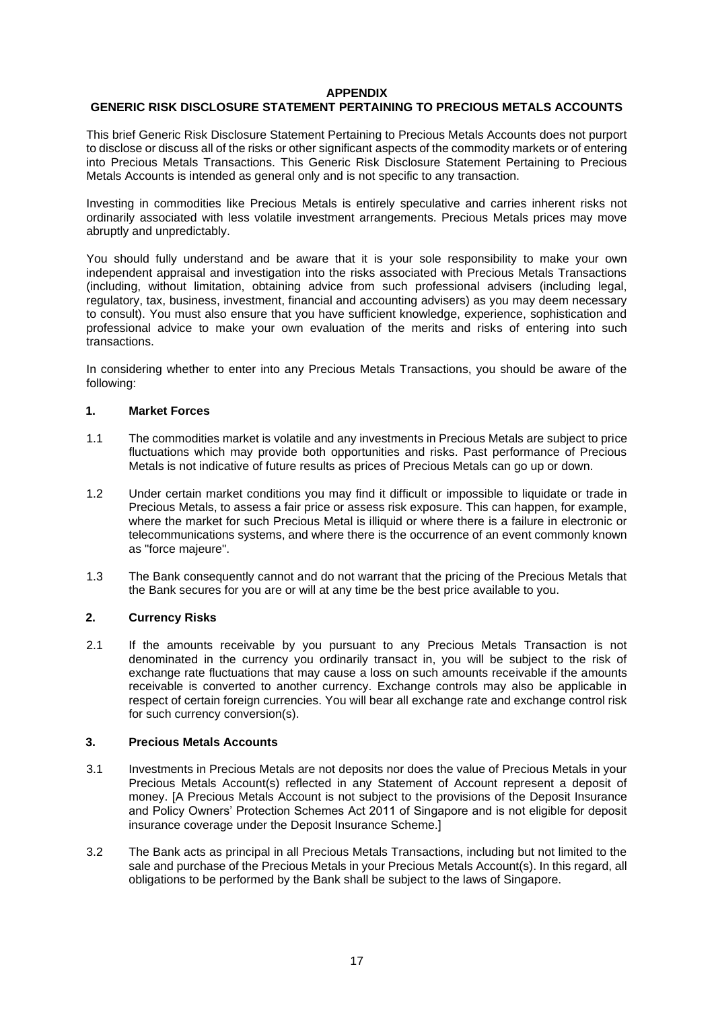#### **APPENDIX**

# **GENERIC RISK DISCLOSURE STATEMENT PERTAINING TO PRECIOUS METALS ACCOUNTS**

This brief Generic Risk Disclosure Statement Pertaining to Precious Metals Accounts does not purport to disclose or discuss all of the risks or other significant aspects of the commodity markets or of entering into Precious Metals Transactions. This Generic Risk Disclosure Statement Pertaining to Precious Metals Accounts is intended as general only and is not specific to any transaction.

Investing in commodities like Precious Metals is entirely speculative and carries inherent risks not ordinarily associated with less volatile investment arrangements. Precious Metals prices may move abruptly and unpredictably.

You should fully understand and be aware that it is your sole responsibility to make your own independent appraisal and investigation into the risks associated with Precious Metals Transactions (including, without limitation, obtaining advice from such professional advisers (including legal, regulatory, tax, business, investment, financial and accounting advisers) as you may deem necessary to consult). You must also ensure that you have sufficient knowledge, experience, sophistication and professional advice to make your own evaluation of the merits and risks of entering into such transactions.

In considering whether to enter into any Precious Metals Transactions, you should be aware of the following:

### **1. Market Forces**

- 1.1 The commodities market is volatile and any investments in Precious Metals are subject to price fluctuations which may provide both opportunities and risks. Past performance of Precious Metals is not indicative of future results as prices of Precious Metals can go up or down.
- 1.2 Under certain market conditions you may find it difficult or impossible to liquidate or trade in Precious Metals, to assess a fair price or assess risk exposure. This can happen, for example, where the market for such Precious Metal is illiquid or where there is a failure in electronic or telecommunications systems, and where there is the occurrence of an event commonly known as "force majeure".
- 1.3 The Bank consequently cannot and do not warrant that the pricing of the Precious Metals that the Bank secures for you are or will at any time be the best price available to you.

# **2. Currency Risks**

2.1 If the amounts receivable by you pursuant to any Precious Metals Transaction is not denominated in the currency you ordinarily transact in, you will be subject to the risk of exchange rate fluctuations that may cause a loss on such amounts receivable if the amounts receivable is converted to another currency. Exchange controls may also be applicable in respect of certain foreign currencies. You will bear all exchange rate and exchange control risk for such currency conversion(s).

### **3. Precious Metals Accounts**

- 3.1 Investments in Precious Metals are not deposits nor does the value of Precious Metals in your Precious Metals Account(s) reflected in any Statement of Account represent a deposit of money. [A Precious Metals Account is not subject to the provisions of the Deposit Insurance and Policy Owners' Protection Schemes Act 2011 of Singapore and is not eligible for deposit insurance coverage under the [Deposit Insurance](http://www.ipb.citibank.com.sg/english/static/dp_ins.htm) Scheme.]
- 3.2 The Bank acts as principal in all Precious Metals Transactions, including but not limited to the sale and purchase of the Precious Metals in your Precious Metals Account(s). In this regard, all obligations to be performed by the Bank shall be subject to the laws of Singapore.